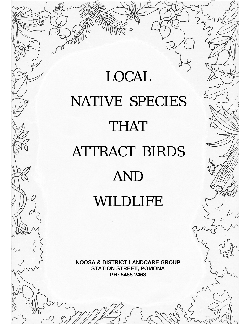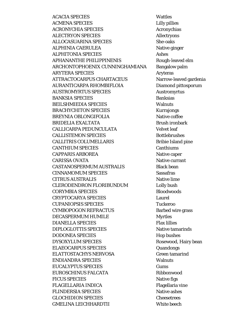**ACACIA SPECIES ACMENA SPECIES ACRONYCHIA SPECIES ALECTRYON SPECIES ALLOCASUARINA SPECIES ALPHINIA CAERULEA ALPHITONIA SPECIES APHANANTHE PHILIPPINENIS** ARCHONTOPHOENIX CUNNINGHAMIANA **ARYTERA SPECIES** ATTRACTOCARPUS CHARTACEUS AURANTICARPA RHOMBIFLOIA **AUSTROMYRTUS SPECIES BANKSIA SPECIES BEILSHMIEDIA SPECIES BRACHYCHITON SPECIES BREYNIA OBLONGIFOLIA BRIDELIA EXALTATA CALLICARPA PEDUNCULATA CALLISTEMON SPECIES CALLITRIS COLUMELLARIS CANTHIUM SPECIES CAPPARIS ARBOREA CARISSA OVATA** CASTANOSPERMUM AUSTRALIS **CINNAMOMUM SPECIES CITRUS AUSTRALIS CLERODENDRON FLORIBUNDUM CORYMBIA SPECIES CRYPTOCARYA SPECIES CUPANIOPSIS SPECIES CYMBOPOGON REFRACTUS DECASPERMUM HUMILE DIANELLA SPECIES DIPLOGLOTTIS SPECIES DODONEA SPECIES DYSOXYLUM SPECIES ELAEOCARPUS SPECIES** ELATTOSTACHYS NERVOSA **ENDIANDRA SPECIES EUCALYPTUS SPECIES EUROSCHINUS FALCATA FICUS SPECIES FLAGELLARIA INDICA FLINDERSIA SPECIES GLOCHIDION SPECIES GMELINA LEICHHARDTII** 

**Wattles Lilly pillies** Acronychias **Allectryons** She-oaks Native ginger **Ashes** Rough-leaved elm **Bangalow palm Aryteras** Narrow-leaved gardenia Diamond pittosporum **Austromyrtus Banksias Walnuts Kurrajongs** Native coffee Brush ironbark Velvet leaf **Bottlebrushes Bribie Island pine** Canthiums Native caper Native currant **Black bean Sassafras** Native lime Lolly bush **Bloodwoods** Laurel **Tuckeroo Barbed wire grass Myrtles Flax lillies** Native tamarinds **Hop bushes** Rosewood, Hairy bean Quandongs **Green tamarind Walnuts** Gums Ribbonwood Native figs Flagellaria vine Native ashes **Cheesetrees** White beech